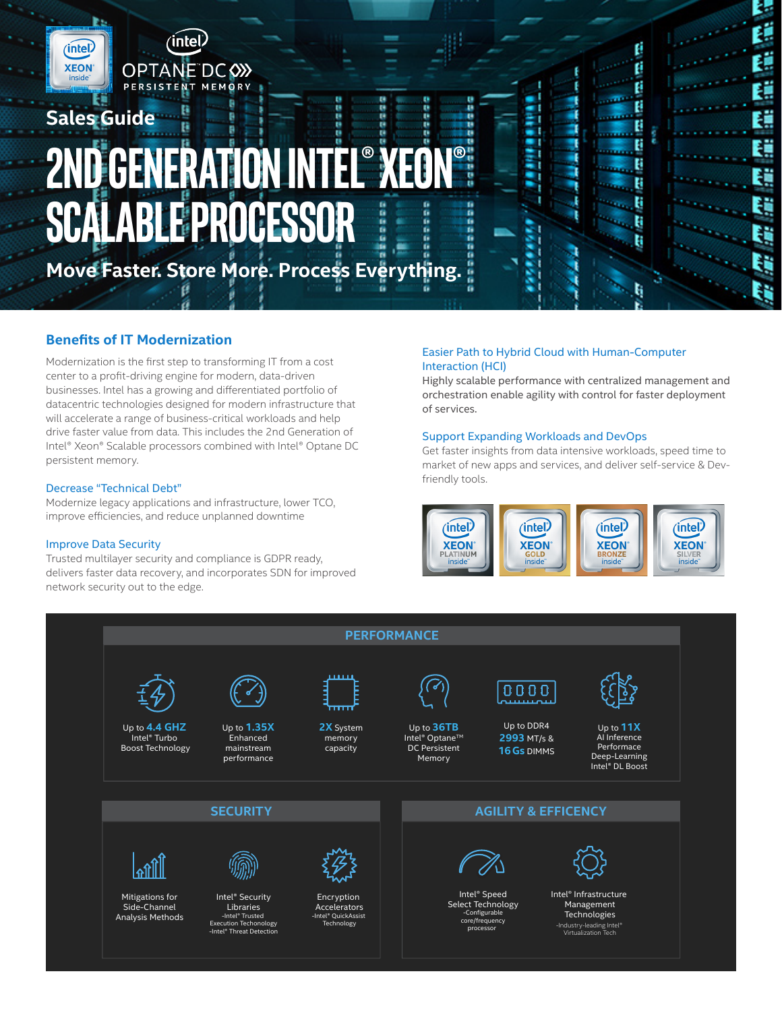

# **2nd Generation Intel® Xeon® Scalable Processor**

в

**Move Faster. Store More. Process Everything.**

# **Benefits of IT Modernization**

**Sales Guide** 

(intel)

**XEON** 

Modernization is the first step to transforming IT from a cost center to a profit-driving engine for modern, data-driven businesses. Intel has a growing and differentiated portfolio of datacentric technologies designed for modern infrastructure that will accelerate a range of business-critical workloads and help drive faster value from data. This includes the 2nd Generation of Intel® Xeon® Scalable processors combined with Intel® Optane DC persistent memory.

## Decrease "Technical Debt"

Modernize legacy applications and infrastructure, lower TCO, improve efficiencies, and reduce unplanned downtime

## Improve Data Security

Trusted multilayer security and compliance is GDPR ready, delivers faster data recovery, and incorporates SDN for improved network security out to the edge.

## Easier Path to Hybrid Cloud with Human-Computer Interaction (HCI)

Highly scalable performance with centralized management and orchestration enable agility with control for faster deployment of services.

٠

н

п

f. p

Ë

Ë

E

E

B

B B

B

U

ĩ.

¢

E.

t

## Support Expanding Workloads and DevOps

Get faster insights from data intensive workloads, speed time to market of new apps and services, and deliver self-service & Devfriendly tools.





ū

g

в

믋

**P 222**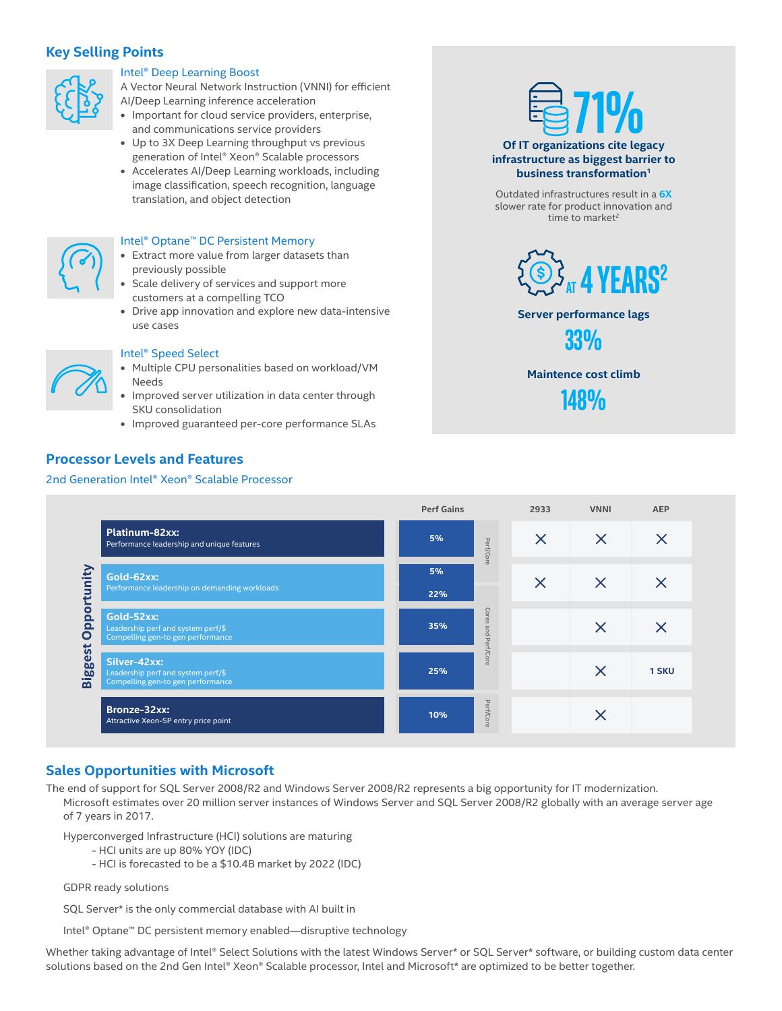# **Key Selling Points**



## Intel® Deep Learning Boost

- A Vector Neural Network Instruction (VNNI) for efficient AI/Deep Learning inference acceleration
- **•** Important for cloud service providers, enterprise, and communications service providers
- **•** Up to 3X Deep Learning throughput vs previous generation of Intel® Xeon® Scalable processors
- **•** Accelerates AI/Deep Learning workloads, including image classification, speech recognition, language translation, and object detection



#### Intel® Optane™ DC Persistent Memory

- **•** Extract more value from larger datasets than previously possible
- **•** Scale delivery of services and support more customers at a compelling TCO
- **•** Drive app innovation and explore new data-intensive use cases



## Intel® Speed Select

- **•** Multiple CPU personalities based on workload/VM Needs
- **•** Improved server utilization in data center through SKU consolidation
- **•** Improved guaranteed per-core performance SLAs

# **Processor Levels and Features**

#### 2nd Generation Intel® Xeon® Scalable Processor



Outdated infrastructures result in a **6X**  slower rate for product innovation and time to market $2$ 



## **Server performance lags**



**Maintence cost climb** 

**148%**

|                           |                                                                                         | <b>Perf Gains</b>                                   | 2933     | <b>VNNI</b> | <b>AEP</b> |
|---------------------------|-----------------------------------------------------------------------------------------|-----------------------------------------------------|----------|-------------|------------|
|                           | Platinum-82xx:<br>Performance leadership and unique features                            | 5%<br>Perf/Core                                     | $\times$ | $\times$    | X          |
| unity                     | Gold-62xx:<br>Performance leadership on demanding workloads                             | 5%<br>22%                                           | $\times$ | $\times$    | X          |
| po<br>$\Omega$<br>$\circ$ | Gold-52xx:<br>Leadership perf and system perf/\$<br>Compelling gen-to gen performance   | Cores<br>35%<br>and<br>$\mathbf \sigma$<br>$\sigma$ |          | X           | X          |
| <b>Biggest</b>            | Silver-42xx:<br>Leadership perf and system perf/\$<br>Compelling gen-to gen performance | erf/Core<br>25%                                     |          | $\times$    | 1 SKU      |
|                           | Bronze-32xx:<br>Attractive Xeon-SP entry price point                                    | Perf/Core<br>10%                                    |          |             |            |

# **Sales Opportunities with Microsoft**

The end of support for SQL Server 2008/R2 and Windows Server 2008/R2 represents a big opportunity for IT modernization. Microsoft estimates over 20 million server instances of Windows Server and SQL Server 2008/R2 globally with an average server age of 7 years in 2017.

Hyperconverged Infrastructure (HCI) solutions are maturing

- HCI units are up 80% YOY (IDC)
- HCI is forecasted to be a \$10.4B market by 2022 (IDC)

GDPR ready solutions

SQL Server\* is the only commercial database with AI built in

Intel® Optane™ DC persistent memory enabled—disruptive technology

Whether taking advantage of Intel® Select Solutions with the latest Windows Server\* or SQL Server\* software, or building custom data center solutions based on the 2nd Gen Intel® Xeon® Scalable processor, Intel and Microsoft\* are optimized to be better together.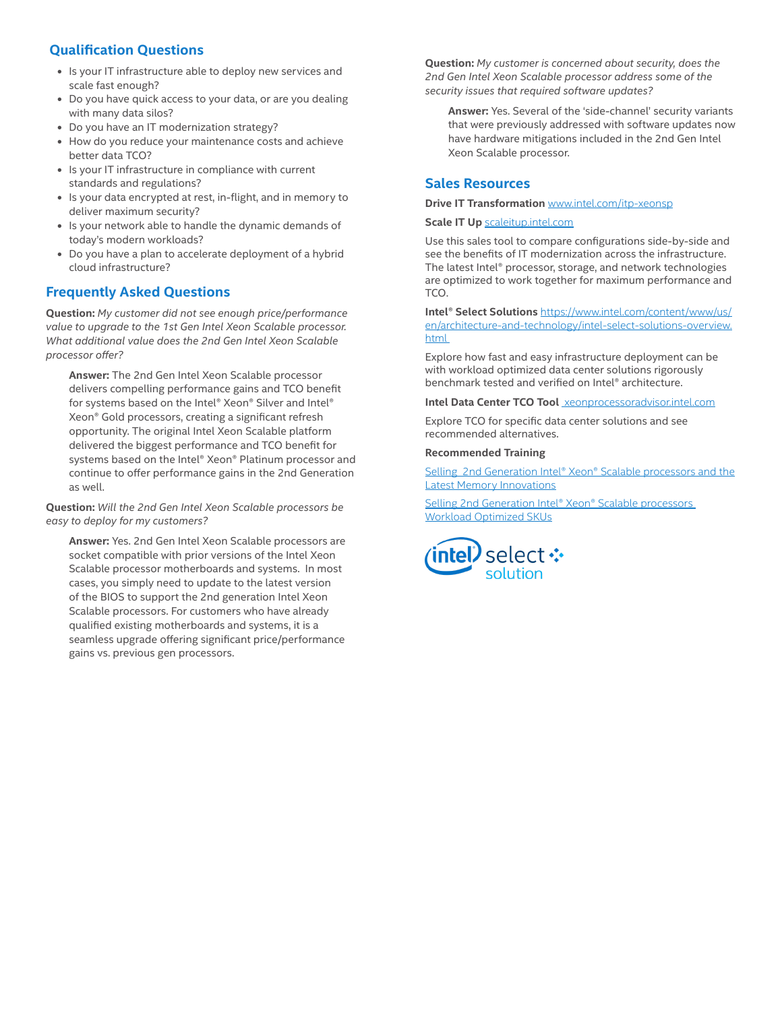# **Qualification Questions**

- **•** Is your IT infrastructure able to deploy new services and scale fast enough?
- **•** Do you have quick access to your data, or are you dealing with many data silos?
- **•** Do you have an IT modernization strategy?
- **•** How do you reduce your maintenance costs and achieve better data TCO?
- **•** Is your IT infrastructure in compliance with current standards and regulations?
- **•** Is your data encrypted at rest, in-flight, and in memory to deliver maximum security?
- **•** Is your network able to handle the dynamic demands of today's modern workloads?
- **•** Do you have a plan to accelerate deployment of a hybrid cloud infrastructure?

# **Frequently Asked Questions**

**Question:** *My customer did not see enough price/performance value to upgrade to the 1st Gen Intel Xeon Scalable processor. What additional value does the 2nd Gen Intel Xeon Scalable processor offer?*

**Answer:** The 2nd Gen Intel Xeon Scalable processor delivers compelling performance gains and TCO benefit for systems based on the Intel® Xeon® Silver and Intel® Xeon® Gold processors, creating a significant refresh opportunity. The original Intel Xeon Scalable platform delivered the biggest performance and TCO benefit for systems based on the Intel® Xeon® Platinum processor and continue to offer performance gains in the 2nd Generation as well.

**Question:** *Will the 2nd Gen Intel Xeon Scalable processors be easy to deploy for my customers?* 

**Answer:** Yes. 2nd Gen Intel Xeon Scalable processors are socket compatible with prior versions of the Intel Xeon Scalable processor motherboards and systems. In most cases, you simply need to update to the latest version of the BIOS to support the 2nd generation Intel Xeon Scalable processors. For customers who have already qualified existing motherboards and systems, it is a seamless upgrade offering significant price/performance gains vs. previous gen processors.

**Question:** *My customer is concerned about security, does the 2nd Gen Intel Xeon Scalable processor address some of the security issues that required software updates?* 

**Answer:** Yes. Several of the 'side-channel' security variants that were previously addressed with software updates now have hardware mitigations included in the 2nd Gen Intel Xeon Scalable processor.

# **Sales Resources**

#### **Drive IT Transformation** www.intel.com/itp-xeonsp

#### **Scale IT Up** scaleitup.intel.com

Use this sales tool to compare configurations side-by-side and see the benefits of IT modernization across the infrastructure. The latest Intel® processor, storage, and network technologies are optimized to work together for maximum performance and TCO.

**Intel® Select Solutions** https://www.intel.com/content/www/us/ en/architecture-and-technology/intel-select-solutions-overview. html

Explore how fast and easy infrastructure deployment can be with workload optimized data center solutions rigorously benchmark tested and verified on Intel® architecture.

**Intel Data Center TCO Tool** xeonprocessoradvisor.intel.com

Explore TCO for specific data center solutions and see recommended alternatives.

#### **Recommended Training**

Selling 2nd Generation Intel® Xeon® Scalable processors and the Latest Memory Innovations

Selling 2nd Generation Intel® Xeon® Scalable processors Workload Optimized SKUs